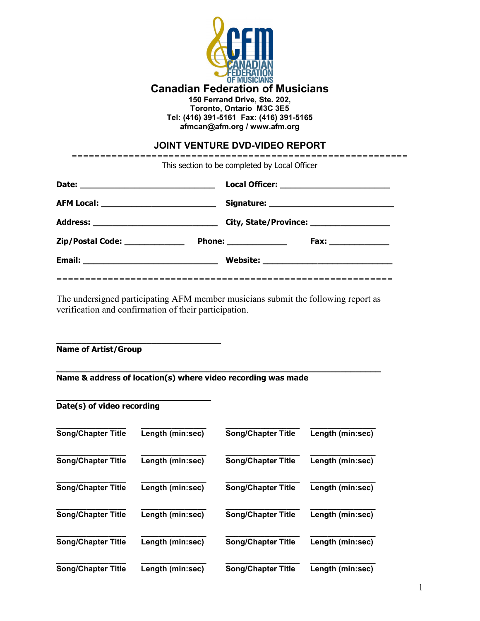

**Canadian Federation of Musicians**

**150 Ferrand Drive, Ste. 202,**

**Toronto, Ontario M3C 3E5 Tel: (416) 391-5161 Fax: (416) 391-5165 afmcan@afm.org / www.afm.org**

# **JOINT VENTURE DVD-VIDEO REPORT**

| This section to be completed by Local Officer |                        |                                            |  |
|-----------------------------------------------|------------------------|--------------------------------------------|--|
|                                               |                        |                                            |  |
|                                               |                        | Signature: _______________________________ |  |
|                                               |                        | City, State/Province: ___________________  |  |
| Zip/Postal Code: _____________                | Phone: _______________ |                                            |  |
|                                               |                        |                                            |  |
|                                               |                        |                                            |  |

The undersigned participating AFM member musicians submit the following report as verification and confirmation of their participation.

**\_\_\_\_\_\_\_\_\_\_\_\_\_\_\_\_\_\_\_\_\_\_\_\_\_\_\_\_\_\_\_\_\_ Name of Artist/Group**

#### **\_\_\_\_\_\_\_\_\_\_\_\_\_\_\_\_\_\_\_\_\_\_\_\_\_\_\_\_\_\_\_\_\_\_\_\_\_\_\_\_\_\_\_\_\_\_\_\_\_\_\_\_\_\_\_\_\_\_\_\_\_\_\_\_\_ Name & address of location(s) where video recording was made**

#### **\_\_\_\_\_\_\_\_\_\_\_\_\_\_\_\_\_\_\_\_\_\_\_\_\_\_\_\_\_\_\_ Date(s) of video recording**

| <b>Song/Chapter Title</b> | Length (min:sec) | <b>Song/Chapter Title</b> | Length (min:sec) |
|---------------------------|------------------|---------------------------|------------------|
| <b>Song/Chapter Title</b> | Length (min:sec) | <b>Song/Chapter Title</b> | Length (min:sec) |
| <b>Song/Chapter Title</b> | Length (min:sec) | <b>Song/Chapter Title</b> | Length (min:sec) |
| <b>Song/Chapter Title</b> | Length (min:sec) | <b>Song/Chapter Title</b> | Length (min:sec) |
| <b>Song/Chapter Title</b> | Length (min:sec) | <b>Song/Chapter Title</b> | Length (min:sec) |
| <b>Song/Chapter Title</b> | Length (min:sec) | <b>Song/Chapter Title</b> | Length (min:sec) |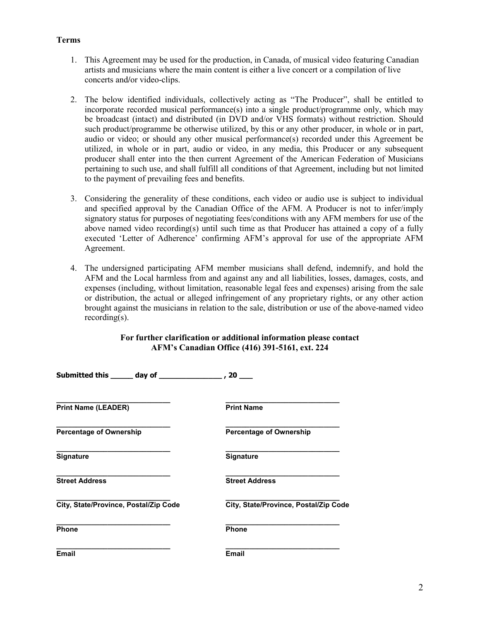### **Terms**

- 1. This Agreement may be used for the production, in Canada, of musical video featuring Canadian artists and musicians where the main content is either a live concert or a compilation of live concerts and**/**or video-clips.
- 2. The below identified individuals, collectively acting as "The Producer", shall be entitled to incorporate recorded musical performance(s) into a single product/programme only, which may be broadcast (intact) and distributed (in DVD and/or VHS formats) without restriction. Should such product/programme be otherwise utilized, by this or any other producer, in whole or in part, audio or video; or should any other musical performance(s) recorded under this Agreement be utilized, in whole or in part, audio or video, in any media, this Producer or any subsequent producer shall enter into the then current Agreement of the American Federation of Musicians pertaining to such use, and shall fulfill all conditions of that Agreement, including but not limited to the payment of prevailing fees and benefits.
- 3. Considering the generality of these conditions, each video or audio use is subject to individual and specified approval by the Canadian Office of the AFM. A Producer is not to infer/imply signatory status for purposes of negotiating fees/conditions with any AFM members for use of the above named video recording(s) until such time as that Producer has attained a copy of a fully executed 'Letter of Adherence' confirming AFM's approval for use of the appropriate AFM Agreement.
- 4. The undersigned participating AFM member musicians shall defend, indemnify, and hold the AFM and the Local harmless from and against any and all liabilities, losses, damages, costs, and expenses (including, without limitation, reasonable legal fees and expenses) arising from the sale or distribution, the actual or alleged infringement of any proprietary rights, or any other action brought against the musicians in relation to the sale, distribution or use of the above-named video recording(s).

## **For further clarification or additional information please contact AFM's Canadian Office (416) 391-5161, ext. 224**

| <b>Print Name (LEADER)</b>            | <b>Print Name</b>                     |  |
|---------------------------------------|---------------------------------------|--|
| <b>Percentage of Ownership</b>        | <b>Percentage of Ownership</b>        |  |
| <b>Signature</b>                      | Signature                             |  |
| <b>Street Address</b>                 | <b>Street Address</b>                 |  |
| City, State/Province, Postal/Zip Code | City, State/Province, Postal/Zip Code |  |
| <b>Phone</b>                          | <b>Phone</b>                          |  |
| <b>Email</b>                          | <b>Email</b>                          |  |